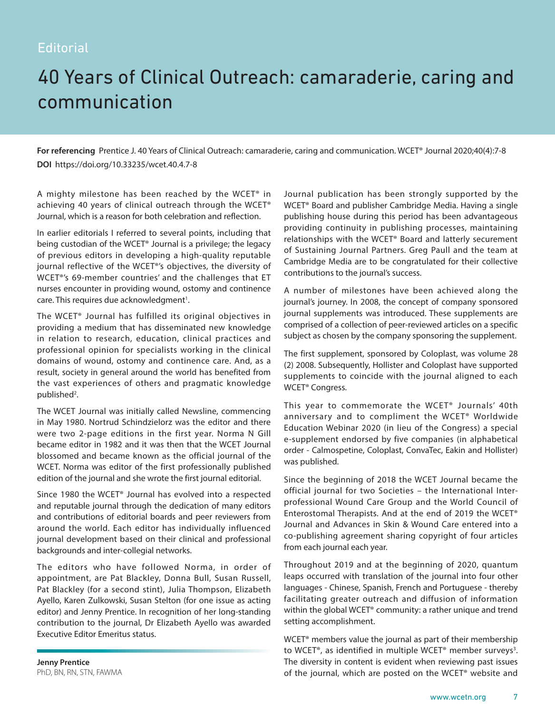## **Editorial**

## 40 Years of Clinical Outreach: camaraderie, caring and communication

**For referencing** Prentice J. 40 Years of Clinical Outreach: camaraderie, caring and communication. WCET® Journal 2020;40(4):7-8 **DOI** https://doi.org/10.33235/wcet.40.4.7-8

A mighty milestone has been reached by the WCET® in achieving 40 years of clinical outreach through the WCET® Journal, which is a reason for both celebration and reflection.

In earlier editorials I referred to several points, including that being custodian of the WCET® Journal is a privilege; the legacy of previous editors in developing a high-quality reputable journal reflective of the WCET®'s objectives, the diversity of WCET®'s 69-member countries' and the challenges that ET nurses encounter in providing wound, ostomy and continence care. This requires due acknowledgment<sup>1</sup>.

The WCET® Journal has fulfilled its original objectives in providing a medium that has disseminated new knowledge in relation to research, education, clinical practices and professional opinion for specialists working in the clinical domains of wound, ostomy and continence care. And, as a result, society in general around the world has benefited from the vast experiences of others and pragmatic knowledge published<sup>2</sup>.

The WCET Journal was initially called Newsline, commencing in May 1980. Nortrud Schindzielorz was the editor and there were two 2-page editions in the first year. Norma N Gill became editor in 1982 and it was then that the WCET Journal blossomed and became known as the official journal of the WCET. Norma was editor of the first professionally published edition of the journal and she wrote the first journal editorial.

Since 1980 the WCET® Journal has evolved into a respected and reputable journal through the dedication of many editors and contributions of editorial boards and peer reviewers from around the world. Each editor has individually influenced journal development based on their clinical and professional backgrounds and inter-collegial networks.

The editors who have followed Norma, in order of appointment, are Pat Blackley, Donna Bull, Susan Russell, Pat Blackley (for a second stint), Julia Thompson, Elizabeth Ayello, Karen Zulkowski, Susan Stelton (for one issue as acting editor) and Jenny Prentice. In recognition of her long-standing contribution to the journal, Dr Elizabeth Ayello was awarded Executive Editor Emeritus status.

**Jenny Prentice** PhD, BN, RN, STN, FAWMA Journal publication has been strongly supported by the WCET® Board and publisher Cambridge Media. Having a single publishing house during this period has been advantageous providing continuity in publishing processes, maintaining relationships with the WCET® Board and latterly securement of Sustaining Journal Partners. Greg Paull and the team at Cambridge Media are to be congratulated for their collective contributions to the journal's success.

A number of milestones have been achieved along the journal's journey. In 2008, the concept of company sponsored journal supplements was introduced. These supplements are comprised of a collection of peer-reviewed articles on a specific subject as chosen by the company sponsoring the supplement.

The first supplement, sponsored by Coloplast, was volume 28 (2) 2008. Subsequently, Hollister and Coloplast have supported supplements to coincide with the journal aligned to each WCET® Congress.

This year to commemorate the WCET®️ Journals' 40th anniversary and to compliment the WCET® Worldwide Education Webinar 2020 (in lieu of the Congress) a special e-supplement endorsed by five companies (in alphabetical order - Calmospetine, Coloplast, ConvaTec, Eakin and Hollister) was published.

Since the beginning of 2018 the WCET Journal became the official journal for two Societies – the International Interprofessional Wound Care Group and the World Council of Enterostomal Therapists. And at the end of 2019 the WCET® Journal and Advances in Skin & Wound Care entered into a co-publishing agreement sharing copyright of four articles from each journal each year.

Throughout 2019 and at the beginning of 2020, quantum leaps occurred with translation of the journal into four other languages - Chinese, Spanish, French and Portuguese - thereby facilitating greater outreach and diffusion of information within the global WCET® community: a rather unique and trend setting accomplishment.

WCET® members value the journal as part of their membership to WCET®, as identified in multiple WCET® member surveys<sup>3</sup>. The diversity in content is evident when reviewing past issues of the journal, which are posted on the WCET® website and